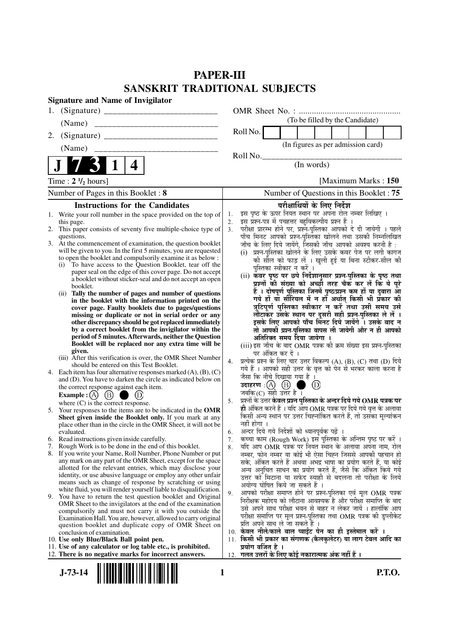## **PAPER-III SANSKRIT TRADITIONAL SUBJECTS**

| <b>Signature and Name of Invigilator</b> |                                                                                                                                |                |                                                                                                                            |  |
|------------------------------------------|--------------------------------------------------------------------------------------------------------------------------------|----------------|----------------------------------------------------------------------------------------------------------------------------|--|
| 1.                                       |                                                                                                                                |                |                                                                                                                            |  |
|                                          | (Name)                                                                                                                         |                | (To be filled by the Candidate)                                                                                            |  |
| 2.                                       |                                                                                                                                |                | Roll No.                                                                                                                   |  |
|                                          | (Name)                                                                                                                         |                | (In figures as per admission card)                                                                                         |  |
|                                          | 4                                                                                                                              |                | Roll No.<br>(In words)                                                                                                     |  |
|                                          |                                                                                                                                |                |                                                                                                                            |  |
| Time : $2 \frac{1}{2}$ hours]            |                                                                                                                                |                | [Maximum Marks: 150]                                                                                                       |  |
|                                          | Number of Pages in this Booklet: 8                                                                                             |                | Number of Questions in this Booklet: 75                                                                                    |  |
|                                          | <b>Instructions for the Candidates</b>                                                                                         |                | परीक्षार्थियों के लिए निर्देश                                                                                              |  |
|                                          | 1. Write your roll number in the space provided on the top of<br>this page.                                                    | 1.<br>2.       | इस पृष्ठ के ऊपर नियत स्थान पर अपना रोल नम्बर लिखिए ।<br>इस प्रश्न-पत्र में पचहत्तर बहुविकल्पीय प्रश्न हैं ।                |  |
|                                          | 2. This paper consists of seventy five multiple-choice type of                                                                 | 3 <sub>1</sub> | परीक्षा प्रारम्भ होने पर, प्रश्न-पुस्तिका आपको दे दी जायेगी । पहले                                                         |  |
|                                          | questions.<br>3. At the commencement of examination, the question booklet                                                      |                | पाँच मिनट आपको प्रश्न-पुस्तिका खोलने तथा उसकी निम्नलिखित<br>जाँच के लिए दिये जायेंगे, जिसकी जाँच आपको अवश्य करनी है :      |  |
|                                          | will be given to you. In the first 5 minutes, you are requested                                                                |                | (i) प्रश्न-पुस्तिका खोलने के लिए उसके कवर पेज पर लगी कागज                                                                  |  |
|                                          | to open the booklet and compulsorily examine it as below :<br>To have access to the Question Booklet, tear off the<br>(i)      |                | की सौल को फाड़ लें । खुली हुई या बिना स्टीकर-सील की                                                                        |  |
|                                          | paper seal on the edge of this cover page. Do not accept                                                                       |                | पुस्तिका स्वीकार न करें ।<br>(ii) कवर पृष्ठ पर छपे निर्देशानुसार प्रश्न-पुस्तिका के पृष्ठ तथा                              |  |
|                                          | a booklet without sticker-seal and do not accept an open<br>booklet.                                                           |                | प्रश्नों की संख्या को अच्छी तरह चैक कर लें कि ये पूरे                                                                      |  |
|                                          | Tally the number of pages and number of questions<br>(ii)                                                                      |                | हैं । दोषपूर्ण पुस्तिका जिनमें पृष्ठ/प्रश्न कम हों या दुबारा आ                                                             |  |
|                                          | in the booklet with the information printed on the<br>cover page. Faulty booklets due to pages/questions                       |                | गये हों यो सीरियल में न हों अर्थात् किसी भी प्रकार की<br>त्रुटिपूर्ण पुस्तिका स्वीकार न करें तथा उसी समय उसे               |  |
|                                          | missing or duplicate or not in serial order or any                                                                             |                | लौटाकर उसके स्थान पर दूसरी सही प्रश्न-पुस्तिका ले लें ।                                                                    |  |
|                                          | other discrepancy should be got replaced immediately<br>by a correct booklet from the invigilator within the                   |                | इसके लिए आपको पाँच मिनट दिये जायेंगे । उसके बाद न<br>तो आपकी प्रश्न-पुस्तिका वापस ली जायेगी और न ही आपको                   |  |
|                                          | period of 5 minutes. Afterwards, neither the Question                                                                          |                | अतिरिक्त समय दिया जायेगा ।                                                                                                 |  |
|                                          | Booklet will be replaced nor any extra time will be<br>given.                                                                  |                | (iii) इस जाँच के बाद OMR पत्रक की क्रम संख्या इस प्रश्न-पुस्तिका                                                           |  |
|                                          | (iii) After this verification is over, the OMR Sheet Number                                                                    | 4.             | पर अंकित कर दें ।<br>प्रत्येक प्रश्न के लिए चार उत्तर विकल्प (A), (B), (C) तथा (D) दिये                                    |  |
|                                          | should be entered on this Test Booklet.<br>4. Each item has four alternative responses marked (A), (B), (C)                    |                | गये हैं । आपको सही उत्तर के वृत्त को पेन से भरकर काला करना है                                                              |  |
|                                          | and (D). You have to darken the circle as indicated below on                                                                   |                | जैसा कि नीचे दिखाया गया है ।                                                                                               |  |
|                                          | the correct response against each item.                                                                                        |                | (D)<br>जबकि (C) सही उत्तर है ।                                                                                             |  |
|                                          | (B)<br>Example : $(A)$<br>where $(C)$ is the correct response.                                                                 | 5.             | प्रश्नों के उत्तर <b>केवल प्रश्न पुस्तिका के अन्दर दिये गये OMR पत्रक पर</b>                                               |  |
|                                          | 5. Your responses to the items are to be indicated in the OMR                                                                  |                | ही अंकित करने हैं । यदि आप OMR पत्रक पर दिये गये वृत्त के अलावा                                                            |  |
|                                          | Sheet given inside the Booklet only. If you mark at any<br>place other than in the circle in the OMR Sheet, it will not be     |                | किसी अन्य स्थान पर उत्तर चिह्नांकित करते हैं, तो उसका मूल्यांकन<br>नहीं होगा ।                                             |  |
|                                          | evaluated.                                                                                                                     | 6.             | अन्दर दिये गये निर्देशों को ध्यानपूर्वक पढ़ें ।                                                                            |  |
| 7.                                       | 6. Read instructions given inside carefully.<br>Rough Work is to be done in the end of this booklet.                           | 7.             | कच्चा काम (Rough Work) इस पुस्तिका के अन्तिम पृष्ठ पर करें ।<br>यदि आप OMR पत्रक पर नियत स्थान के अलावा अपना नाम, रोल      |  |
|                                          | 8. If you write your Name, Roll Number, Phone Number or put                                                                    | 8.             | नम्बर, फोन नम्बर या कोई भी ऐसा चिह्न जिससे आपकी पहचान हो                                                                   |  |
|                                          | any mark on any part of the OMR Sheet, except for the space                                                                    |                | सके, अंकित करते हैं अथवा अभद्र भाषा का प्रयोग करते हैं, या कोई                                                             |  |
|                                          | allotted for the relevant entries, which may disclose your<br>identity, or use abusive language or employ any other unfair     |                | अन्य अनुचित साधन का प्रयोग करते हैं, जैसे कि अंकित किये गये<br>उत्तर को मिटाना या सफेद स्याही से बदलना तो परीक्षा के लिये  |  |
|                                          | means such as change of response by scratching or using                                                                        |                | अयोग्य घोषित किये जा सकते हैं ।                                                                                            |  |
| 9.                                       | white fluid, you will render yourself liable to disqualification.<br>You have to return the test question booklet and Original | 9.             | आपको परीक्षा समाप्त होने पर प्रश्न-पुस्तिका एवं मूल OMR पत्रक                                                              |  |
|                                          | OMR Sheet to the invigilators at the end of the examination                                                                    |                | निरीक्षक महोदय को लौटाना आवश्यक है और परीक्षा समाप्ति के बाद<br>उसे अपने साथ परीक्षा भवन से बाहर न लेकर जायें । हालांकि आप |  |
|                                          | compulsorily and must not carry it with you outside the<br>Examination Hall. You are, however, allowed to carry original       |                | परीक्षा समाप्ति पर मूल प्रश्न-पुस्तिका तथा OMR पत्रक की डुप्लीकेट                                                          |  |
|                                          | question booklet and duplicate copy of OMR Sheet on                                                                            |                | प्रति अपने साथ ले जा सकते हैं ।                                                                                            |  |
|                                          | conclusion of examination.<br>10. Use only Blue/Black Ball point pen.                                                          |                | 10. केवल नीले/काले बाल प्वाईंट पेन का ही इस्तेमाल करें ।<br>11. किसी भी प्रकार का संगणक (कैलकुलेटर) या लाग टेबल आदि का     |  |
|                                          | 11. Use of any calculator or log table etc., is prohibited.                                                                    |                | प्रयोग वर्जित है ।                                                                                                         |  |
|                                          | 12. There is no negative marks for incorrect answers.                                                                          |                | 12.  गलत उत्तरों के लिए कोई नकारात्मक अंक नहीं हैं ।                                                                       |  |
|                                          | $J-73-14$<br><b>P.T.O.</b><br>1                                                                                                |                |                                                                                                                            |  |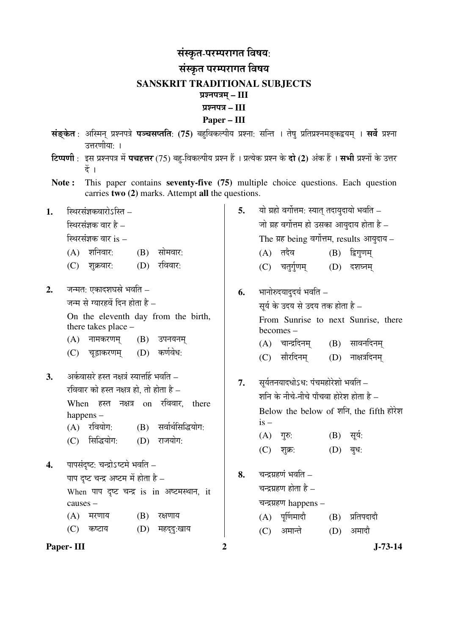## संस्कृत-परम्परागत विषय: संस्कृत परम्परागत विषय **SANSKRIT TRADITIONAL SUBJECTS**  प्रश्नपत्रम् – III ¯ÖÏ¿®Ö¯Ö¡Ö **– III Paper – III**

- सं**ङ्केत** : अस्मिन् प्रश्नपत्रे **पञ्चसप्तति**: (75) बहुविकल्पीय प्रश्ना: सन्ति । तेषु प्रतिप्रश्नमङ्कद्वयम् । सर्वे प्रश्ना उत्तरणीयाः ।
- **टिप्पणी** : इस प्रश्नपत्र में **पचहत्तर** (75) बहु-विकल्पीय प्रश्न हैं । प्रत्येक प्रश्न के **दो (2)** अंक हैं । सभी प्रश्नों के उत्तर  $\ddot{\vec{a}}$  ।
- **Note :** This paper contains **seventy-five (75)** multiple choice questions. Each question carries **two (2)** marks. Attempt **all** the questions.
- 1. स्थिरसंज्ञकवारोऽस्ति –

स्थिरसंज्ञक वार है $-$ 

स्थिरसंज्ञक वार $i$ s –

- $(A)$  शनिवार:  $(B)$  सोमवार:
- (C) शक्रवार: (D) रविवार:
- **2.** जन्मत: एकादशघस्रे भवति जन्म से ग्यारहवें दिन होता है $=$

 On the eleventh day from the birth, there takes place –

- $(A)$  नामकरणम्  $(B)$  उपनयनम
- (C) चड़ाकरणम (D) कर्णवेध:
- 3. •• अर्कवासरे हस्त नक्षत्रं स्यात्तर्हि भवति रविवार को हस्त नक्षत्र हो. तो होता है $-$ When हस्त नक्षत्र on रविवार, there

happens –

- $(A)$  रवियोग:  $(B)$  सर्वार्थसिद्धियोग:
- (C) सिद्धियोग: (D) राजयोग:
- 4. पापसंदष्ट: चन्द्रोऽष्टमे भवति पाप दष्ट चन्द्र अष्टम में होता है $-$ When पाप दृष्ट चन्द्र is in अष्टमस्थान, it causes –  $(A)$  मरणाय  $(B)$  रक्षणाय (C) कष्टाय (D) महदद:खाय
- **Paper- III** 2 J-73-14
- **5.** यो ग्रहो वर्गोत्तम: स्यात तदायदायो भवति जो ग्रह वर्गोत्तम हो उसका आयुदाय होता है $-$ The ग्रह being वर्गोत्तम, results आयुदाय $(A)$  तदैव  $(B)$  द्विगुणम्
	- (C) चतुर्गुणम् (D) दशघ्नम
- **6.** भानोरुदयादुदयं भवति सर्य के उदय से उदय तक होता है – From Sunrise to next Sunrise, there becomes –  $(A)$  चान्द्रदिनम  $(B)$  सावनदिनम
	- (C) सौरदिनम (D) नाक्षत्रदिनम
- 7. सूर्यतनयादधोऽध: पंचमहोरेशो भवति शनि के नीचे-नीचे पाँचवा होरेश होता है $-$ Below the below of शनि, the fifth होरेश  $is (A)$  गुरु:  $(B)$  सूर्य:
	- (C) शुक्र: (D) बृध:
- 8. चन्द्रग्रहणं भवति चन्द्रग्रहण होता है $-$ चन्द्रग्रहण happens –  $(A)$  पूर्णिमादौ  $(B)$  प्रतिपदादौ (C) अमान्ते (D) अमादौ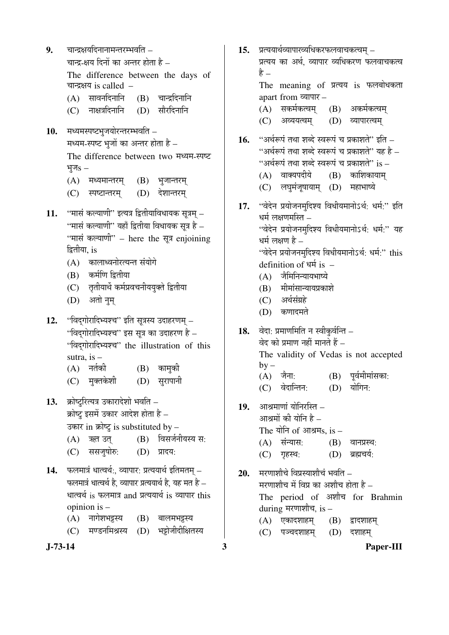**J-73-14 3 Paper-III 9.** वान्द्रक्षयदिनानामन्तरम्भवति – चान्द्र-क्षय दिनों का अन्तर होता है – The difference between the days of चान्द्रक्षय is called  $(A)$  सावनदिनानि  $(B)$  चान्द्रदिनानि  $(C)$  नाक्षत्रदिनानि  $(D)$  सौरदिनानि 10. मध्यमस्पष्टभुजयोरन्तरम्भवति – मध्यम-स्पष्ट भुजों का अन्तर होता है – The difference between two मध्यम-स्पष्ट भुज $s (A)$  मध्यमान्तरम्  $(B)$  भुजान्तरम् (C) स्पष्टान्तरम् (D) देशान्तरम् 11. "मासं कल्याणी" इत्यत्र द्वितीयाविधायक सूत्रम् – ''मासं कल्याणी'' यहाँ द्वितीया विधायक सूत्र है – "मासं कल्याणी" – here the सूत्र enjoining द्वितीया, is (A) कालाध्वनोरत्यन्त संयोगे (B) कर्मणि द्वितीया  $(C)$  तृतीयार्थे कर्मप्रवचनीययुक्ते द्वितीया (D) अतो नम 12. "बिदुगोरादिभ्यश्च" इति सूत्रस्य उदाहरणम् – "विद्गोरादिभ्यश्च" इस सूत्र का उदाहरण है $-$ "विद्गोरादिभ्यश्च" the illustration of this sutra, is –  $(A)$  नर्तकी  $(B)$  कामको (C) मुक्तकेशी (D) सुरापानी 13. क्रोष्टुरित्यत्र उकारादेशो भवति – क्रोष्ट्र इसमें उकार आदेश होता है $-$ उकार in क्रोष्ट्र is substituted by –  $(A)$  ऋत उत  $(B)$  विसर्जनीयस्य स: (C) ससज़षोरु: (D) प्रादय: 14. **फलमात्रं धात्वर्थ:, व्यापार: प्रत्ययार्थ** इतिमतम् – फलमात्रं धात्वर्थ है. व्यापार प्रत्ययार्थ है. यह मत है – धात्वर्थ is फलमात्र and प्रत्ययार्थ is व्यापार this opinion is – (A) नागेशभट्टस्य (B) बालमभट्टस्य (C) मण्डनमिश्रस्य (D) भट्टोजीदीक्षितस्य

15. प्रत्ययार्थव्यापारव्यधिकरफलवाचकत्वम् – प्रत्यय का अर्थ, व्यापार व्यधिकरण फलवाचकत्व हे – The meaning of प्रत्यय is फलबोधकता apart from व्यापार – (A) सकर्मकत्वम् (B) अकर्मकत्वम् (C) अव्ययत्वम् (D) व्यापारत्वम् 16. "अर्थरूपं तथा शब्दे स्वरूपं च प्रकाशते" इति – "अर्थरूपं तथा शब्दे स्वरूपं च प्रकाशते" यह है – "अर्थरूपं तथा शब्दे स्वरूपं च प्रकाशते" is –  $(A)$  वाक्यपदीये  $(B)$  काशिकायाम (C) लघमंजुषायाम (D) महाभाष्ये 17. "वेदेन प्रयोजनमुदिश्य विधीयमानोऽर्थ: धर्म:" इति धर्म लक्षणमस्ति $\,$  – "वेदेन प्रयोजनमुदिश्य विधीयमानोऽर्थ: धर्म:" यह धर्म लक्षण है – "वेदेन प्रयोजनमुदिश्य विधीयमानोऽर्थ: धर्म:" this definition of  $\Psi$ <sup>i</sup> is –  $(A)$  जैमिनिन्यायभाष्ये (B) मीमांसान्यायप्रकाशे  $(C)$  अर्थसंग्रहे (D) कणादमते 18. वेदा: प्रमाणमिति न स्वीकुर्वन्ति – वेद को प्रमाण नहीं मानते हैं  $-$  The validity of Vedas is not accepted  $by (A)$  जैना:  $(B)$  पर्वमीमांसका: (C) वेदान्तिन: (D) योगिन: 19. आश्रमाणां योनिरस्ति – आश्रमों की योनि है $-$ The योनि of आश्रम $s$ , is –  $(A)$  संन्यास:  $(B)$  वानप्रस्थ: (C) गृहस्थ: (D) ब्रह्मचर्य: 20. मरणाशौचे विप्रस्याशौचं भवति – मरणाशौच में विप्र का अशौच होता है – The period of अशौच for Brahmin during मरणाशौच, is –  $(A)$  एकादशाहम्  $(B)$  द्वादशाहम् (C) पञ्चदशाहम् (D) दशाहम्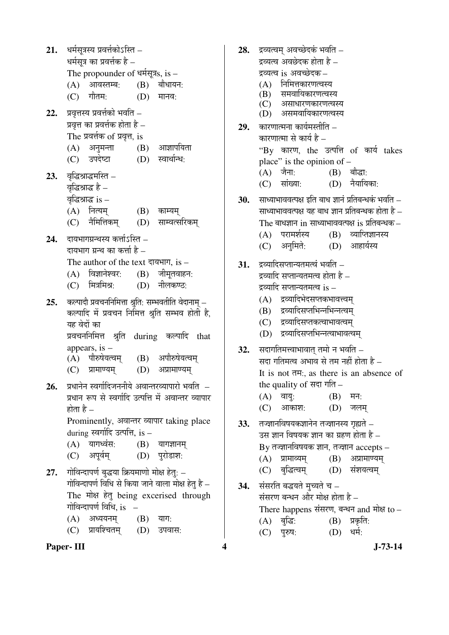21. धर्मसूत्रस्य प्रवर्त्तकोऽस्ति – धर्मसुत्र का प्रवर्त्तक है – The propounder of धर्मसूत्र $s$ , is –  $(A)$  आवस्तम्ब:  $(B)$  बौधायन:  $(C)$  गौतम:  $(D)$  मानव: 22. प्रवृत्तस्य प्रवर्त्तको भवति – प्रवृत्त का प्रवर्त्तक होता है – The प्रवर्त्तक of प्रवृत्त, is  $(A)$  अनुमन्ता  $(B)$  आज्ञापयिता (C) उपदेष्टा (D) स्वार्थान्ध: 23. वृद्धिश्राद्धमस्ति – वृद्धिश्राद्ध है – বুৰিপ্পাৰ্ৱ is –  $(A)$  नित्यम्  $(B)$  काम्यम् (C) नैमित्तिकम (D) साम्वत्सरिकम 24. बायभागग्रन्थस्य कर्त्ताऽस्ति – दायभाग ग्रन्थ का कर्त्ता है  $-$ The author of the text दायभाग, is  $(A)$  विज्ञानेश्वर:  $(B)$  जीमृतवाहन:  $(C)$  मित्रमिश्र:  $(D)$  नीलकण्ठ: 25. कल्पादौ प्रवचननिमित्ता श्रुति: सम्भवतीति वेदानाम – कल्पादि में प्रवचन निमित्त श्रुति सम्भव होती है. यह वेदों का प्रवचननिमित्त श्रुति during कल्पादि that appears, is – (A) पौरुषेयत्वम् (B) अपौरुषेयत्वम्  $(C)$  प्रामाण्यम्  $(D)$  अप्रामाण्यम् 26. प्रधानेन स्वर्गादिजननीये अवान्तरव्यापारो भवति – प्रधान रूप से स्वर्गादि उत्पत्ति में अवान्तर व्यापार होता है  $-$ Prominently, अवान्तर व्यापार taking place during स्वर्गादि उत्पत्ति, is –  $(A)$  यागध्वंस:  $(B)$  यागज्ञानम (C) अपूर्वम् (D) पुरोडाश: **27.** गोविन्दापर्ण बुद्धया क्रियमाणो मोक्ष हेतु: – गोविन्दापर्ण विधि से किया जाने वाला मोक्ष हेत है – The मोक्ष हेतु being excerised through गोविन्दापर्ण विधि. is  $(A)$  अध्ययनम्  $(B)$  याग:

(C) प्रायश्चितम् (D) उपवास:

## **Paper- III 4** J-73-14

- **28.** द्रव्यत्वम अवच्छेदकं भवति द्रव्यत्व अवछेदक होता है $\,$  – द्रव्यत्व is अवच्छेदक – (A) निमित्तकारणत्वस्य<br>(B) समवायिकारणत्वर समवायिकारणत्वस्य (C) असाधारणकारणत्वस्य (D) असमवायिकारणत्वस्य 29. कारणात्मना कार्यमस्तीति – कारणात्मा से कार्य है – "By कारण, the उत्पत्ति of कार्य takes place" is the opinion of –  $(A)$  जैना:  $(B)$  बौद्धा: (C) सांख्या: (D) नैयायिका: **30.** साध्याभाववत्पक्ष इति बाध ज्ञानं प्रतिबन्धकं भवति – साध्याभाववत्पक्ष यह बाध ज्ञान प्रतिबन्धक होता है – The बाधज्ञान in साध्याभाववत्पक्ष is प्रतिबन्धक $\,$  –  $(A)$  परामर्शस्य  $(B)$  व्याप्तिज्ञानस्य (C) अनुमिते: (D) आहार्यस्य 31. द्रव्यादिसप्तान्यतमत्वं भवति – द्रव्यादि सप्तान्यतमत्व होता है – द्रव्यादि सप्तान्यतमत्व is – (A) द्रव्यादिभेदसप्तकभावत्त्वम् (B) द्रव्यादिसप्तभिन्नभिन्नत्वम (C) द्रव्यादिसप्तकत्वाभावत्वम् (D) द्रव्यादिसप्तभिन्नत्वाभावत्वम् **32.** सदागतिमत्त्वाभावात् तमो न भवति – सदा गतिमत्व अभाव से तम नहीं होता है $-$ It is not  $\overline{dH}$ : as there is an absence of the quality of सदा गति –  $(A)$  वायु:  $(B)$  मन: (C) आकाश: (D) जलम् **33.** तञ्ज्ञानविषयकज्ञानेन तज्ज्ञानस्य गृह्यते – उस ज्ञान विषयक ज्ञान का ग्रहण होता है –  $By$  तज्ज्ञानविषयक ज्ञान, तज्ज्ञान  $accepts (A)$  प्रामाव्यम्  $(B)$  अप्रामाण्यम् (C) बुद्धित्वम् (D) संशयत्वम् 34. संसरति बद्धयते मुच्यते च – संसरण बन्धन और मोक्ष होता है – There happens संसरण, बन्धन and मोक्ष to –  $(A)$  बुद्धि:  $(B)$  प्रकृति: (C) पुरुष: (D) धर्म:
	-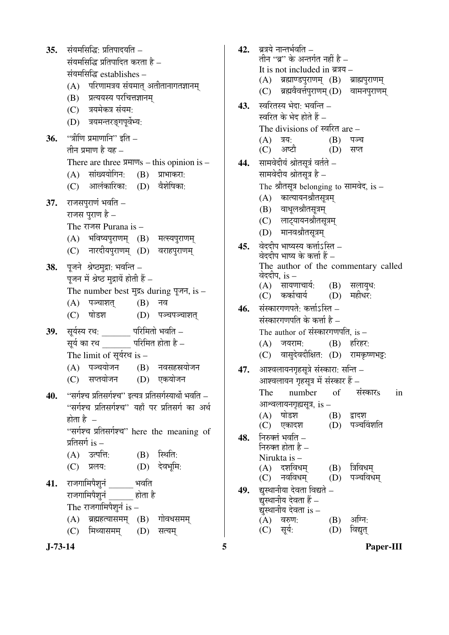35. संयमसिद्धि: प्रतिपादयति –  $\vec{v}$ यंयमसिद्धि प्रतिपादित करता है – संयमसिद्धि establishes –  $(A)$  परिणामत्रय संयमात् अतीतानागतज्ञानम् (B) प्रत्ययस्य परचित्तज्ञानम् (C) त्रयमेकत्र संयम: (D) त्रयमन्तरङगपुर्वेभ्य: 36. "त्रीणि प्रमाणानि" इति – तीन प्रमाण है यह $-$ There are three  $\overline{Y}$   $\overline{Y}$  = this opinion is – (A) सांख्ययोगिन: (B) प्राभाकरा: (C) आलंकारिका: (D) वैशेषिका: **37.** राजसपुराणं भवति – राजस पुराण है $-$ The राजस Purana is  $(A)$  भविष्यपुराणम्  $(B)$  मत्स्यपुराणम् (C) नारदीयपुराणम् (D) वराहपुराणम् 38. पूजने श्रेष्ठमुद्रा: भवन्ति – पुजन में श्रेष्ठ मुद्रायें होती हैं  $-$ The number best मुद्रs during पूजन, is –  $(A)$  पञ्चाशत  $(B)$  नव (C) षोडश (D) पञ्चपञ्चाशत **39.** सूर्यस्य रथ: परिमितो भवति – सर्य का रथ परिमित होता है – The limit of सूर्यरथ is  $-$ (A) पञ्चयोजन (B) नवसहस्रयोजन (C) सप्तयोजन (D) एकयोजन 40. **"सर्गश्च प्रतिसर्गश्च"** इत्यत्र प्रतिसर्गस्यार्थो भवति – "सर्गश्च प्रतिसर्गश्च" यहाँ पर प्रतिसर्ग का अर्थ होता है $-$ "सर्गश्च प्रतिसर्गश्च" here the meaning of प्रतिसर्ग $i$  is  $(A)$  उत्पत्ति:  $(B)$  स्थिति:  $(C)$  प्रलय:  $(D)$  देवभूमि: 41. राजगामिपैशनं भवति राजगामिपैशनं होता है The राजगामिपैशूनं is  $(A)$  ब्रह्महत्यासमम्  $(B)$  गोवधसमम (C) मिथ्यासमम् (D) सत्यम्

42. बत्रये नान्तर्भवति – तीन ''ब्र'' के अन्तर्गत नहीं है – It is not included in ब्रत्रय –  $(A)$  ब्रह्माण्डपुराणम्  $(B)$  ब्राह्मपुराणम् (C) ब्रह्मवैवर्त्तपुराणम् (D) वामनपुराणम् 43. स्वरितस्य भेदा: भवन्ति – स्वरित के भेद होते हैं – The divisions of स्वरित are  $(A)$  त्रय:  $(B)$  पञ्च (C) अष्टौ (D) सप्त 44. सामवेदीयं श्रोतसूत्रं वर्तते – सामवेदीय श्रोतसत्र है – The श्रौतसूत्र belonging to सामवेद, is – (A) कात्यायनश्रौतसूत्रम (B) वाधूलश्रौतसूत्रम् (C) लाट्यायनश्रौतसूत्रम् (D) मानवश्रौतसूत्रम् 45. वेददीप भाष्यस्य कर्त्ताऽस्ति – वेददीप भाष्य के कर्त्ता हैं – The author of the commentary called वेददीप. $is -$ (A) सायणाचार्य: (B) सलायुध:<br>(C) कर्काचार्य (D) महीधर: (C) कर्काचार्य (D) **46.** संस्कारगणपते: कर्त्ताऽस्ति – संस्कारगणपति के कर्त्ता है $-$ The author of संस्कारगणपति, is  $(A)$  जयराम:  $(B)$  हरिहर: (C) वासुदेवदीक्षित: (D) रामकृष्णभट्ट: **47.** आश्वलायनगृहसुत्रे संस्कारा: सन्ति – आश्वलायन गृहसूत्र में संस्कार हैं – The number of संस्कारs in  $\frac{d}{dt}$ अश्विलायनगृह्यसूत्र, is – (A) ÂÖÖê›ü¿Ö (B) «üÖ¤ü¿Ö (D) पञ्चविंशति 48. निरुक्तं भवति – निरुक्त होता है – Nirukta is – (A) दशविधम् (B) त्रिविधम्<br>(C) नवविधम (D) पञ्चविध  $(D)$  पञ्चविधम **49.** द्युस्थानीया देवता विद्यते – द्यँस्थानीय देवता हैं – द्युस्थानीय देवता is –<br>(A) वरुण:

(A) वरुण: (B) अग्नि:<br>(C) सुर्य: (D) विद्युत्

(D) विद्युत्

**J-73-14 5 Paper-III**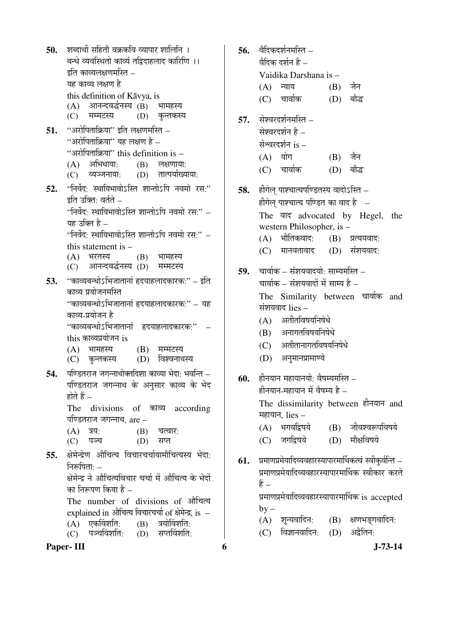**50. शब्दार्थो सहितौ वक्रकवि व्यापार शालिनि** । बन्धे व्यवस्थितो काव्यं तद्विदाहलाद कारिणि ।।  $\overline{\phantom{a}}$ इति काव्यलक्षणमस्ति – यह काव्य लक्षण है this definition of Kāvya, is (A) आनन्दवर्द्धनस्य (B) भामहस्य (C) मम्मटस्य (D) कन्तकस्य **51.** "अरोपिताक्रिया" इति लक्षणमस्ति – "अरोपिताकिया" यह लक्षण है $-$ "अरोपिताक्रिया" this definition is –  $(A)$  अभिधाया:  $(B)$  लक्षणाया: (C) व्यञ्जनाया: (D) तात्पर्याख्याया: 52. "निर्वेद: स्थायिभावोऽस्ति शान्तोऽपि नवमो रस:"  $\bar{\mathbf{r}}$ हति उकित $\cdot$  वर्तते –  $\lq\lq$ निर्वेद $\lq\lq$ स्थायिभावो $\lq\lceil$ रित शान्तो $\lq\lq\lq$ ि नवमो रस $\lq\lq$ यह उक्ति है $\lq\lq$ निर्वेद: स्थायिभावोऽस्ति शान्तोऽपि नवमो रस:'' – this statement is – (A) भरतस्य (B) भामहस्य<br>(C) आनन्दवर्द्धनस्य (D) मम्मटस्य आनन्दवर्द्धनस्य *(*D) **53.** "काव्यबन्धोऽभिजातानां हृदयाहलादकारक:" – इति काव्य प्रयोजनमस्ति "काव्यबन्धोऽभिजातानां हृदयाहलादकारक:" – यह काव्य-प्रयोजन है "काव्यबन्धोऽभिजातानां हृदयाहलादकारकः'' – this काव्यप्रयोजन is  $(A)$  भामहस्य  $(B)$  मम्मटस्य (C) कुन्तकस्य (D) विश्वनाथस्य **54.** पण्डितराज जगन्नाथोक्तदिशा काव्या भेदा: भवन्ति – पण्डितराज जगन्नाथ के अनुसार काव्य के भेद होते हैं – The divisions of काव्य according पण्डितराज जगन्नाथ. are –  $(A)$   $\bar{A}$ :  $(B)$   $\bar{A}$   $\bar{C}$ (C) पञ्च (D) सप्त 55. क्षेमेन्द्रेण औचित्य विचारचर्चायामौचित्यस्य भेदा<u>ः</u> निरूपिता:  $-$ <u>क्षे</u>मेन्द ने औचित्यविचार चर्चा में औचित्य के भेदों का निरूपण किया है – The number of divisions of औचित्य explained in औचित्य विचारचर्चा of क्षेमेन्द्र. is – (A) एकविंशति: (B) त्रयोविंशति:<br>(C) पञ्चविंशति: (D) सप्तविंशति:  $(C)$  पञ्चविंशति:

**Paper- III 6 J-73-14** 

 $56.$  वेदिकदर्शनमस्ति $-$ वैदिक दर्शन है $=$  Vaidika Darshana is –  $(A)$  न्याय  $(B)$  जैन (C) चार्वाक (D) बौद्ध **57.** सेश्वरदर्शनमस्ति – सेश्वरदर्शन है $-$ सेश्वरदर्शन is –  $(A)$  योग  $(B)$  जैन (C) चार्वाक (D) बौद्ध **58.** हीगेल पाश्चात्यपण्डितस्य वादोऽस्ति – हीगेल पाश्चात्य पण्डित का वाद है  $-$ The वाद advocated by Hegel, the western Philosopher, is –  $(A)$  भौतिकवाद:  $(B)$  प्रत्ययवाद:  $(C)$  मानवतावाद  $(D)$  संशयवाद: 59. चार्वाक – संशयवादयो<sup>.</sup> साम्यमस्ति – चार्वाक – संशयवादों में साम्य है – The Similarity between चार्वाक and संशयवाद lies –  $(A)$  अतीतविषयनिषेधे  $(B)$  अनागतविषयनिषेधे (C) अतीतानागतविषयनिषेधे (D) अनुमानप्रामाण्ये **60.** हीनयान महायानयो: वैषम्यमस्ति – हीनयान-महायान में वैषम्य है $\,$  – The dissimilarity between हीनयान and महायान, lies  $(A)$  भगवद्विषये  $(B)$  जीवश्वरूपविषये (C) जगद्विषये (D) मौक्षविषये 61. प्रमाणप्रमेयादिव्यवहारस्यापारमार्थिकत्वं स्वीकुर्वन्ति – प्रमाणप्रमेयादिव्यवहारस्यापारमार्थिक स्वीकार करते  $\frac{a}{b}$  – प्रमाणप्रमेयादिव्यवहारस्यापारमार्थिक is accepted  $by (A)$  शून्यवादिन:  $(B)$  क्षणभङ्गवादिन:  $(C)$  विज्ञानवादिन:  $(D)$  अद्वैतिन: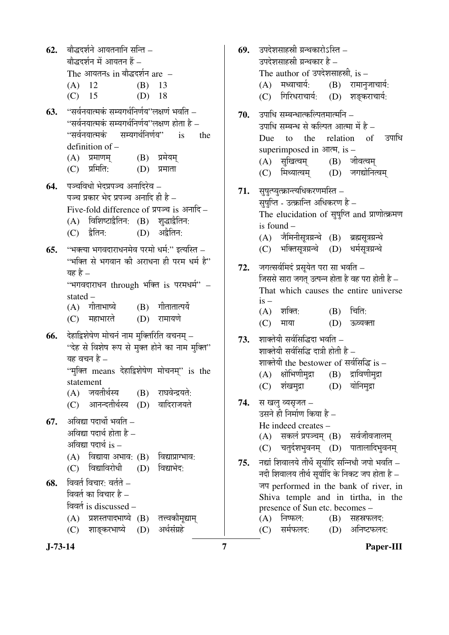**J-73-14 7 Paper-III** 62. बौद्धदर्शने आयतनानि सन्ति – बौद्धदर्शन में आयतन हैं $-$ The आयतन $s$  in बौद्धदर्शन  $\operatorname{are}\ -$  (A) 12 (B) 13 (C) 15 (D) 18 63. "सर्वनयात्मकं सम्यगर्थनिर्णय''लक्षणं भवति –  $\cdot$ 'सर्वनयात्मकं सम्यगर्थनिर्णय''लक्षण होता है – "सर्वनयात्मकं सम्यगर्थनिर्णय" is the definition of –  $(A)$  प्रमाणम्  $(B)$  प्रमेयम्  $(C)$  प्रमिति:  $(D)$  प्रमाता 64. पञ्चविधो भेदप्रपञ्च अनादिरेव – पञ्च प्रकार भेद प्रपञ्च अनादि ही है $=$ Five-fold difference of  $\Pi$ पञ्च is अनादि –  $(A)$  विशिष्टाद्वैतिन:  $(B)$  श् $\bar{a}$ द्वाद्वैतिन:  $(C)$  द्वैतिन:  $(D)$  अद्वैतिन: **65.** "भक्त्या भगवदाराधनमेव परमो धर्म:" इत्यस्ति – "भक्ति से भगवान की अराधना ही परम धर्म है" यह $\grave{\epsilon}$  – "भगवदाराधन through भक्ति is परमधर्म" – stated –  $(A)$  गीताभाष्ये  $(B)$  गीतातात्पर्ये (C) महाभारते (D) रामायणे **66.** देहाद्विशेषेण मोचनं नाम मक्तिरिति वचनम – "देह से विशेष रूप से मुक्त होने का नाम मुक्ति" यह वचन है  $-$ "मुक्ति means देहाद्विशेषेण मोचनम्" is the statement (A) जयतीर्थस्य (B) राघवेन्द्रयते: (C) आनन्दतीर्थस्य (D) वादिराजयते **67.** अविद्या पदार्थो भवति – अविद्या पदार्थ होता है $-$ अविद्या पदार्थ  $i$ s –  $(A)$  विद्याया अभाव:  $(B)$  विद्याप्राग्भाव: (C) विद्याविरोधी (D) विद्याभेद: **68.** विवर्त विचार: वर्तते – विवर्त का विचार है $-$ विवर्त is discussed – (A) प्रशस्तपादभाष्ये (B) तत्त्वकौमृद्याम् (C) शाङ्करभाष्ये (D) अर्थसंग्रहे

**69.** उपदेशसाहस्री ग्रन्थकारोऽस्ति – उपदेशसाहस्री ग्रन्थकार है – The author of उपदेशसाहस्री, is –  $(A)$  मध्वाचार्य:  $(B)$  रामानुजाचार्य: (C) गिरिधराचार्य: (D) शङकराचार्य: **70.** उपाधि सम्बन्धात्कल्पितमात्मनि – उपाधि सम्बन्ध से कल्पित आत्मा में है – Due to the relation of उपाधि superimposed in  $\overline{A}$ , is – (A) सुखित्वम् (B) जीवत्वम् (C) मिथ्यात्वम् (D) जगद्योनित्वम् 71. सुषुत्प्युत्क्रान्त्यधिकरणमस्ति – सुषुप्ति - उत्क्रान्ति अधिकरण है – The elucidation of सुषुप्ति and प्राणोत्क्रमण is found –  $(A)$  जैमिनीसत्रग्रन्थे  $(B)$  ब्रह्मसत्रग्रन्थे (C) भक्तिसुत्रग्रन्थे (D) धर्मसुत्रग्रन्थे 72. जगत्सर्वमिदं प्रसूयेत परा सा भवति – जिससे सारा जगत उत्पन्न होता है वह परा होती है $-$  That which causes the entire universe is –  $(A)$  शक्ति:  $(B)$  चिति: (C) माया (D) ऊव्यक्ता 73. शाक्तेयी सर्वसिद्धिदा भवति – शाक्तेयी सर्वसिद्धि दात्री होती है – शाक्तेयी the bestower of सर्वसिद्धि is –  $(A)$  क्षोभिणीमुद्रा  $(B)$  द्राविणीमुद्रा (C) शंखमुद्रा (D) योनिमद्रा 74. स खलु व्यसृजत – उसने ही निर्माण किया है – He indeed creates –  $(A)$  सकलं प्रपञ्चम्  $(B)$  सर्वजीवजालम् (C) चतुर्दशभुवनम् (D) पातालादिभुवनम् 75. नद्यां शिवालये तीर्थे सर्यादि सन्निधौ जपो भवति – नदी शिवालय तीर्थ सर्यादि के निकट जप होता है – जप performed in the bank of river, in Shiva temple and in tirtha, in the presence of Sun etc. becomes –  $(A)$  निष्फल:  $(B)$  सहस्रफलद: (C) सर्मफलद: (D) अनिष्टफलद: